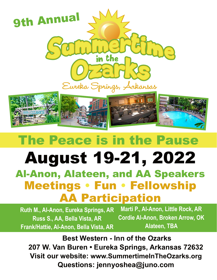

# The Peace is in the Pause

## August 19-21, 2022 Al-Anon, Alateen, and AA Speakers Meetings • Fun • Fellowship AA Participation

**Ruth M., Al-Anon, Eureka Springs, AR Russ S., AA, Bella Vista, AR Frank/Hattie, Al-Anon, Bella Vista, AR Marti P., Al-Anon, Little Rock, AR Cordie Al-Anon, Broken Arrow, OK Alateen, TBA**

 **Best Western - Inn of the Ozarks 207 W. Van Buren • Eureka Springs, Arkansas 72632 Visit our website: www.SummertimeInTheOzarks.org Questions: jennyoshea@juno.com**